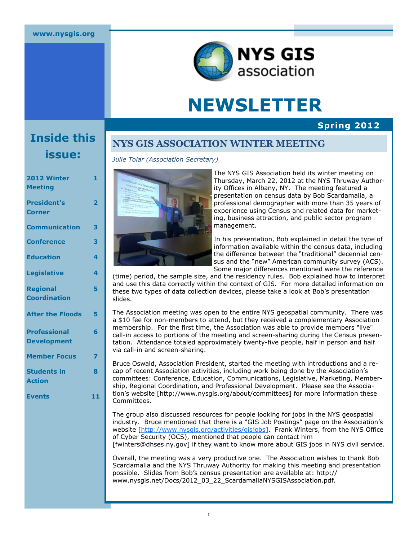#### www.nysgis.org



# NEWSLETTER

#### Spring 2012

# Inside this issue:

| 2012 Winter<br><b>Meeting</b>       | 1                       |
|-------------------------------------|-------------------------|
| <b>President's</b><br><b>Corner</b> | $\overline{\mathbf{2}}$ |
| <b>Communication</b>                | 3                       |
| <b>Conference</b>                   | 3                       |
| <b>Education</b>                    | 4                       |
| <b>Legislative</b>                  | 4                       |
| <b>Regional</b>                     | 5                       |
| <b>Coordination</b>                 |                         |
| <b>After the Floods</b>             | 5                       |
| <b>Professional</b>                 | 6                       |
| <b>Development</b>                  |                         |
| <b>Member Focus</b>                 | 7                       |
| <b>Students in</b>                  | 8                       |
| <b>Action</b>                       |                         |
| <b>Events</b>                       | 11                      |

### NYS GIS ASSOCIATION WINTER MEETING

Julie Tolar (Association Secretary)



**M** management. The NYS GIS Association held its winter meeting on Thursday, March 22, 2012 at the NYS Thruway Authority Offices in Albany, NY. The meeting featured a presentation on census data by Bob Scardamalia, a professional demographer with more than 35 years of experience using Census and related data for marketing, business attraction, and public sector program

In his presentation, Bob explained in detail the type of information available within the census data, including the difference between the "traditional" decennial census and the "new" American community survey (ACS). Some major differences mentioned were the reference

(time) period, the sample size, and the residency rules. Bob explained how to interpret and use this data correctly within the context of GIS. For more detailed information on these two types of data collection devices, please take a look at Bob's presentation slides.

The Association meeting was open to the entire NYS geospatial community. There was a \$10 fee for non-members to attend, but they received a complementary Association membership. For the first time, the Association was able to provide members "live" call-in access to portions of the meeting and screen-sharing during the Census presentation. Attendance totaled approximately twenty-five people, half in person and half via call-in and screen-sharing.

Bruce Oswald, Association President, started the meeting with introductions and a recap of recent Association activities, including work being done by the Association's committees: Conference, Education, Communications, Legislative, Marketing, Membership, Regional Coordination, and Professional Development. Please see the Association's website [http://www.nysgis.org/about/committees] for more information these Committees.

The group also discussed resources for people looking for jobs in the NYS geospatial industry. Bruce mentioned that there is a "GIS Job Postings" page on the Association's website [http://www.nysgis.org/activities/gisjobs]. Frank Winters, from the NYS Office of Cyber Security (OCS), mentioned that people can contact him [fwinters@dhses.ny.gov] if they want to know more about GIS jobs in NYS civil service.

Overall, the meeting was a very productive one. The Association wishes to thank Bob Scardamalia and the NYS Thruway Authority for making this meeting and presentation possible. Slides from Bob's census presentation are available at: http:// www.nysgis.net/Docs/2012\_03\_22\_ScardamaliaNYSGISAssociation.pdf.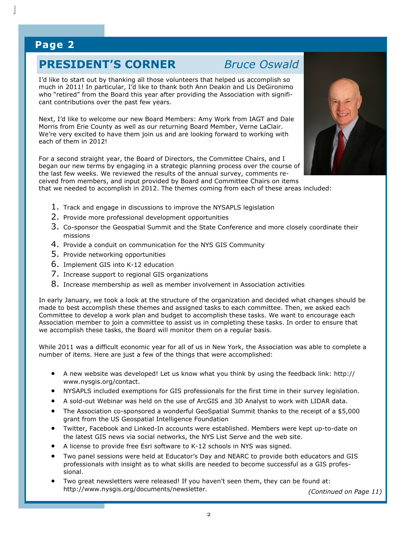## **PRESIDENT'S CORNER** Bruce Oswald

I'd like to start out by thanking all those volunteers that helped us accomplish so much in 2011! In particular, I'd like to thank both Ann Deakin and Lis DeGironimo who "retired" from the Board this year after providing the Association with significant contributions over the past few years.

Next, I'd like to welcome our new Board Members: Amy Work from IAGT and Dale Morris from Erie County as well as our returning Board Member, Verne LaClair. We're very excited to have them join us and are looking forward to working with each of them in 2012!

For a second straight year, the Board of Directors, the Committee Chairs, and I began our new terms by engaging in a strategic planning process over the course of the last few weeks. We reviewed the results of the annual survey, comments received from members, and input provided by Board and Committee Chairs on items that we needed to accomplish in 2012. The themes coming from each of these areas included:



- 2. Provide more professional development opportunities
- 3. Co-sponsor the Geospatial Summit and the State Conference and more closely coordinate their missions
- 4. Provide a conduit on communication for the NYS GIS Community
- 5. Provide networking opportunities
- 6. Implement GIS into K-12 education
- 7. Increase support to regional GIS organizations
- 8. Increase membership as well as member involvement in Association activities

In early January, we took a look at the structure of the organization and decided what changes should be made to best accomplish these themes and assigned tasks to each committee. Then, we asked each Committee to develop a work plan and budget to accomplish these tasks. We want to encourage each Association member to join a committee to assist us in completing these tasks. In order to ensure that we accomplish these tasks, the Board will monitor them on a regular basis.

While 2011 was a difficult economic year for all of us in New York, the Association was able to complete a number of items. Here are just a few of the things that were accomplished:

- A new website was developed! Let us know what you think by using the feedback link: http:// www.nysgis.org/contact.
- NYSAPLS included exemptions for GIS professionals for the first time in their survey legislation.
- A sold-out Webinar was held on the use of ArcGIS and 3D Analyst to work with LIDAR data.
- The Association co-sponsored a wonderful GeoSpatial Summit thanks to the receipt of a \$5,000 grant from the US Geospatial Intelligence Foundation
- Twitter, Facebook and Linked-In accounts were established. Members were kept up-to-date on the latest GIS news via social networks, the NYS List Serve and the web site.
- A license to provide free Esri software to K-12 schools in NYS was signed.
- Two panel sessions were held at Educator's Day and NEARC to provide both educators and GIS professionals with insight as to what skills are needed to become successful as a GIS professional.
- Two great newsletters were released! If you haven't seen them, they can be found at: http://www.nysgis.org/documents/newsletter. (Continued on Page 11)

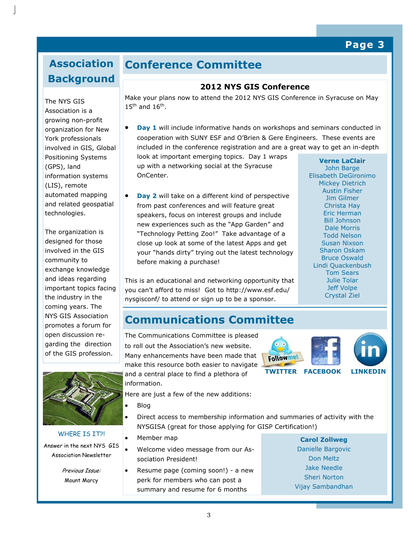Verne LaClair John Barge Elisabeth DeGironimo Mickey Dietrich Austin Fisher Jim Gilmer Christa Hay Eric Herman Bill Johnson Dale Morris Todd Nelson Susan Nixson Sharon Oskam Bruce Oswald Lindi Quackenbush Tom Sears Julie Tolar Jeff Volpe Crystal Ziel

# **Background Association**

The NYS GIS<br>Association is a growng how prome york professionals statewide involved in GIS, Global Positioning Systems information systems (LIS), remote automated mapping technologies. The NYS GIS growing non-profit (GPS), land and related geospatial

The organization is acsigned for those<br>involved in the GIS professionalism critically community to exchange knowledge and ideas regarding the industry in the the industry in the<br>coming years. The NYS GIS Association .<br>open discussion re-.<br>garding the direction is any are an eeas<br>ble CIC andfords of the GIS profession. designed for those important topics facing promotes a forum for



WHERE IS IT?! Answer in the next NYS GIS Association Newsletter

> Previous Issue: Mount Marcy

## Conference Committee

#### 2012 NYS GIS Conference

Make your plans now to attend the 2012 NYS GIS Conference in Syracuse on May  $15^{\text{th}}$  and  $16^{\text{th}}$ .

• Day 1 will include informative hands on workshops and seminars conducted in cooperation with SUNY ESF and O'Brien & Gere Engineers. These events are included in the conference registration and are a great way to get an in-depth

look at important emerging topics. Day 1 wraps up with a networking social at the Syracuse OnCenter.

• Day 2 will take on a different kind of perspective from past conferences and will feature great speakers, focus on interest groups and include new experiences such as the "App Garden" and "Technology Petting Zoo!" Take advantage of a close up look at some of the latest Apps and get your "hands dirty" trying out the latest technology before making a purchase!

This is an educational and networking opportunity that you can't afford to miss! Got to http://www.esf.edu/ nysgisconf/ to attend or sign up to be a sponsor.

## Communications Committee

The Communications Committee is pleased to roll out the Association's new website. Many enhancements have been made that make this resource both easier to navigate and a central place to find a plethora of information.

Here are just a few of the new additions:

- Blog
- Direct access to membership information and summaries of activity with the NYSGISA (great for those applying for GISP Certification!)
	- Member map
	- Welcome video message from our Association President!
	- Resume page (coming soon!) a new perk for members who can post a summary and resume for 6 months



Carol Zollweg Danielle Bargovic Don Meltz

Jake Needle Sheri Norton Vijay Sambandhan

3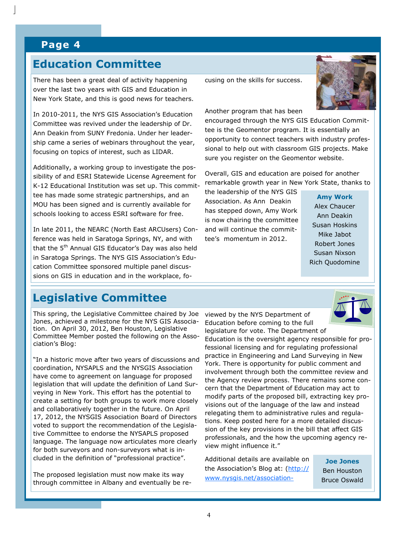## Education Committee

There has been a great deal of activity happening over the last two years with GIS and Education in New York State, and this is good news for teachers.

In 2010-2011, the NYS GIS Association's Education Committee was revived under the leadership of Dr. Ann Deakin from SUNY Fredonia. Under her leadership came a series of webinars throughout the year, focusing on topics of interest, such as LIDAR.

Additionally, a working group to investigate the possibility of and ESRI Statewide License Agreement for K-12 Educational Institution was set up. This committee has made some strategic partnerships, and an MOU has been signed and is currently available for schools looking to access ESRI software for free.

In late 2011, the NEARC (North East ARCUsers) Conference was held in Saratoga Springs, NY, and with that the 5<sup>th</sup> Annual GIS Educator's Day was also held in Saratoga Springs. The NYS GIS Association's Education Committee sponsored multiple panel discussions on GIS in education and in the workplace, focusing on the skills for success.



Another program that has been

encouraged through the NYS GIS Education Committee is the Geomentor program. It is essentially an opportunity to connect teachers with industry professional to help out with classroom GIS projects. Make sure you register on the Geomentor website.

Overall, GIS and education are poised for another remarkable growth year in New York State, thanks to

the leadership of the NYS GIS Association. As Ann Deakin has stepped down, Amy Work is now chairing the committee and will continue the committee's momentum in 2012.

Amy Work Alex Chaucer Ann Deakin Susan Hoskins Mike Jabot Robert Jones Susan Nixson Rich Quodomine

## Legislative Committee

This spring, the Legislative Committee chaired by Joe Jones, achieved a milestone for the NYS GIS Association. On April 30, 2012, Ben Houston, Legislative Committee Member posted the following on the Association's Blog:

"In a historic move after two years of discussions and coordination, NYSAPLS and the NYSGIS Association have come to agreement on language for proposed legislation that will update the definition of Land Surveying in New York. This effort has the potential to create a setting for both groups to work more closely and collaboratively together in the future. On April 17, 2012, the NYSGIS Association Board of Directors voted to support the recommendation of the Legislative Committee to endorse the NYSAPLS proposed language. The language now articulates more clearly for both surveyors and non-surveyors what is included in the definition of "professional practice".

The proposed legislation must now make its way through committee in Albany and eventually be reviewed by the NYS Department of Education before coming to the full legislature for vote. The Department of

Education is the oversight agency responsible for professional licensing and for regulating professional practice in Engineering and Land Surveying in New York. There is opportunity for public comment and involvement through both the committee review and the Agency review process. There remains some concern that the Department of Education may act to modify parts of the proposed bill, extracting key provisions out of the language of the law and instead relegating them to administrative rules and regulations. Keep posted here for a more detailed discussion of the key provisions in the bill that affect GIS professionals, and the how the upcoming agency review might influence it."

Additional details are available on the Association's Blog at: (http:// www.nysgis.net/association-

Joe Jones Ben Houston Bruce Oswald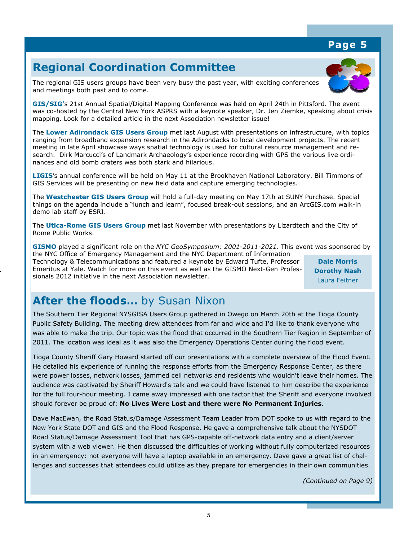## Regional Coordination Committee

The regional GIS users groups have been very busy the past year, with exciting conferences and meetings both past and to come.



GIS/SIG's 21st Annual Spatial/Digital Mapping Conference was held on April 24th in Pittsford. The event was co-hosted by the Central New York ASPRS with a keynote speaker, Dr. Jen Ziemke, speaking about crisis mapping. Look for a detailed article in the next Association newsletter issue!

The Lower Adirondack GIS Users Group met last August with presentations on infrastructure, with topics ranging from broadband expansion research in the Adirondacks to local development projects. The recent meeting in late April showcase ways spatial technology is used for cultural resource management and research. Dirk Marcucci's of Landmark Archaeology's experience recording with GPS the various live ordinances and old bomb craters was both stark and hilarious.

LIGIS's annual conference will be held on May 11 at the Brookhaven National Laboratory. Bill Timmons of GIS Services will be presenting on new field data and capture emerging technologies.

The Westchester GIS Users Group will hold a full-day meeting on May 17th at SUNY Purchase. Special things on the agenda include a "lunch and learn", focused break-out sessions, and an ArcGIS.com walk-in demo lab staff by ESRI.

The Utica-Rome GIS Users Group met last November with presentations by Lizardtech and the City of Rome Public Works.

GISMO played a significant role on the NYC GeoSymposium: 2001-2011-2021. This event was sponsored by the NYC Office of Emergency Management and the NYC Department of Information

Technology & Telecommunications and featured a keynote by Edward Tufte, Professor Emeritus at Yale. Watch for more on this event as well as the GISMO Next-Gen Professionals 2012 initiative in the next Association newsletter.

Dale Morris Dorothy Nash Laura Feitner

## After the floods... by Susan Nixon

The Southern Tier Regional NYSGISA Users Group gathered in Owego on March 20th at the Tioga County Public Safety Building. The meeting drew attendees from far and wide and I'd like to thank everyone who was able to make the trip. Our topic was the flood that occurred in the Southern Tier Region in September of 2011. The location was ideal as it was also the Emergency Operations Center during the flood event.

Tioga County Sheriff Gary Howard started off our presentations with a complete overview of the Flood Event. He detailed his experience of running the response efforts from the Emergency Response Center, as there were power losses, network losses, jammed cell networks and residents who wouldn't leave their homes. The audience was captivated by Sheriff Howard's talk and we could have listened to him describe the experience for the full four-hour meeting. I came away impressed with one factor that the Sheriff and everyone involved should forever be proud of: No Lives Were Lost and there were No Permanent Injuries.

Dave MacEwan, the Road Status/Damage Assessment Team Leader from DOT spoke to us with regard to the New York State DOT and GIS and the Flood Response. He gave a comprehensive talk about the NYSDOT Road Status/Damage Assessment Tool that has GPS-capable off-network data entry and a client/server system with a web viewer. He then discussed the difficulties of working without fully computerized resources in an emergency: not everyone will have a laptop available in an emergency. Dave gave a great list of challenges and successes that attendees could utilize as they prepare for emergencies in their own communities.

(Continued on Page 9)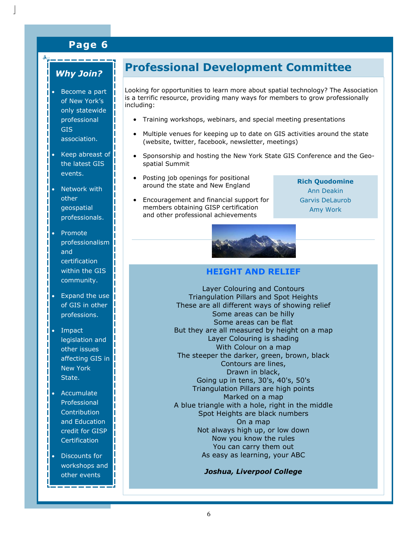#### Why Join?

- Become a part of New York's only statewide professional GIS association.
- Keep abreast of the latest GIS events.
- **Network with** other geospatial professionals.
- Promote professionalism and certification within the GIS community.
- Expand the use of GIS in other professions.
- Impact legislation and other issues affecting GIS in New York State.
- Accumulate **Professional Contribution** and Education credit for GISP **Certification**
- Discounts for workshops and other events

## Professional Development Committee

Looking for opportunities to learn more about spatial technology? The Association is a terrific resource, providing many ways for members to grow professionally including:

- Training workshops, webinars, and special meeting presentations
- Multiple venues for keeping up to date on GIS activities around the state (website, twitter, facebook, newsletter, meetings)
- Sponsorship and hosting the New York State GIS Conference and the Geospatial Summit
- Posting job openings for positional around the state and New England
- Encouragement and financial support for members obtaining GISP certification and other professional achievements

Rich Quodomine Ann Deakin Garvis DeLaurob Amy Work



### HEIGHT AND RELIEF

Layer Colouring and Contours Triangulation Pillars and Spot Heights These are all different ways of showing relief Some areas can be hilly Some areas can be flat But they are all measured by height on a map Layer Colouring is shading With Colour on a map The steeper the darker, green, brown, black Contours are lines, Drawn in black, Going up in tens, 30's, 40's, 50's Triangulation Pillars are high points Marked on a map A blue triangle with a hole, right in the middle Spot Heights are black numbers On a map Not always high up, or low down Now you know the rules You can carry them out As easy as learning, your ABC

Joshua, Liverpool College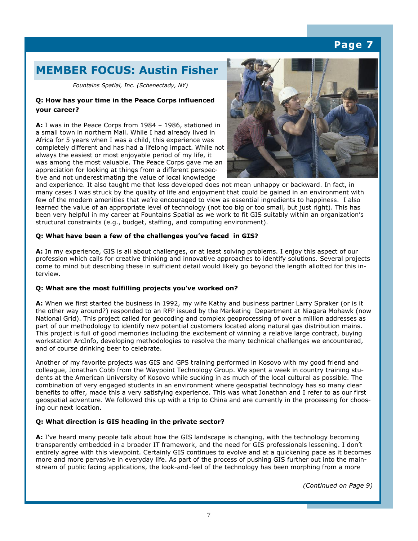## MEMBER FOCUS: Austin Fisher

Fountains Spatial, Inc. (Schenectady, NY)

#### Q: How has your time in the Peace Corps influenced your career?

A: I was in the Peace Corps from 1984 - 1986, stationed in a small town in northern Mali. While I had already lived in Africa for 5 years when I was a child, this experience was completely different and has had a lifelong impact. While not always the easiest or most enjoyable period of my life, it was among the most valuable. The Peace Corps gave me an appreciation for looking at things from a different perspective and not underestimating the value of local knowledge



and experience. It also taught me that less developed does not mean unhappy or backward. In fact, in many cases I was struck by the quality of life and enjoyment that could be gained in an environment with few of the modern amenities that we're encouraged to view as essential ingredients to happiness. I also learned the value of an appropriate level of technology (not too big or too small, but just right). This has been very helpful in my career at Fountains Spatial as we work to fit GIS suitably within an organization's structural constraints (e.g., budget, staffing, and computing environment).

#### Q: What have been a few of the challenges you've faced in GIS?

A: In my experience, GIS is all about challenges, or at least solving problems. I enjoy this aspect of our profession which calls for creative thinking and innovative approaches to identify solutions. Several projects come to mind but describing these in sufficient detail would likely go beyond the length allotted for this interview.

#### Q: What are the most fulfilling projects you've worked on?

A: When we first started the business in 1992, my wife Kathy and business partner Larry Spraker (or is it the other way around?) responded to an RFP issued by the Marketing Department at Niagara Mohawk (now National Grid). This project called for geocoding and complex geoprocessing of over a million addresses as part of our methodology to identify new potential customers located along natural gas distribution mains. This project is full of good memories including the excitement of winning a relative large contract, buying workstation ArcInfo, developing methodologies to resolve the many technical challenges we encountered, and of course drinking beer to celebrate.

Another of my favorite projects was GIS and GPS training performed in Kosovo with my good friend and colleague, Jonathan Cobb from the Waypoint Technology Group. We spent a week in country training students at the American University of Kosovo while sucking in as much of the local cultural as possible. The combination of very engaged students in an environment where geospatial technology has so many clear benefits to offer, made this a very satisfying experience. This was what Jonathan and I refer to as our first geospatial adventure. We followed this up with a trip to China and are currently in the processing for choosing our next location.

#### Q: What direction is GIS heading in the private sector?

A: I've heard many people talk about how the GIS landscape is changing, with the technology becoming transparently embedded in a broader IT framework, and the need for GIS professionals lessening. I don't entirely agree with this viewpoint. Certainly GIS continues to evolve and at a quickening pace as it becomes more and more pervasive in everyday life. As part of the process of pushing GIS further out into the mainstream of public facing applications, the look-and-feel of the technology has been morphing from a more

(Continued on Page 9)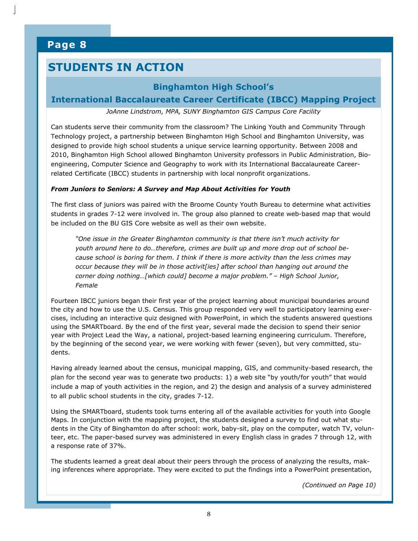## STUDENTS IN ACTION

### Binghamton High School's

### International Baccalaureate Career Certificate (IBCC) Mapping Project

JoAnne Lindstrom, MPA, SUNY Binghamton GIS Campus Core Facility

Can students serve their community from the classroom? The Linking Youth and Community Through Technology project, a partnership between Binghamton High School and Binghamton University, was designed to provide high school students a unique service learning opportunity. Between 2008 and 2010, Binghamton High School allowed Binghamton University professors in Public Administration, Bioengineering, Computer Science and Geography to work with its International Baccalaureate Careerrelated Certificate (IBCC) students in partnership with local nonprofit organizations.

#### From Juniors to Seniors: A Survey and Map About Activities for Youth

The first class of juniors was paired with the Broome County Youth Bureau to determine what activities students in grades 7-12 were involved in. The group also planned to create web-based map that would be included on the BU GIS Core website as well as their own website.

"One issue in the Greater Binghamton community is that there isn't much activity for youth around here to do…therefore, crimes are built up and more drop out of school because school is boring for them. I think if there is more activity than the less crimes may occur because they will be in those activit[ies] after school than hanging out around the corner doing nothing…[which could] become a major problem." – High School Junior, Female

Fourteen IBCC juniors began their first year of the project learning about municipal boundaries around the city and how to use the U.S. Census. This group responded very well to participatory learning exercises, including an interactive quiz designed with PowerPoint, in which the students answered questions using the SMARTboard. By the end of the first year, several made the decision to spend their senior year with Project Lead the Way, a national, project-based learning engineering curriculum. Therefore, by the beginning of the second year, we were working with fewer (seven), but very committed, students.

Having already learned about the census, municipal mapping, GIS, and community-based research, the plan for the second year was to generate two products: 1) a web site "by youth/for youth" that would include a map of youth activities in the region, and 2) the design and analysis of a survey administered to all public school students in the city, grades 7-12.

Using the SMARTboard, students took turns entering all of the available activities for youth into Google Maps. In conjunction with the mapping project, the students designed a survey to find out what students in the City of Binghamton do after school: work, baby-sit, play on the computer, watch TV, volunteer, etc. The paper-based survey was administered in every English class in grades 7 through 12, with a response rate of 37%.

The students learned a great deal about their peers through the process of analyzing the results, making inferences where appropriate. They were excited to put the findings into a PowerPoint presentation,

(Continued on Page 10)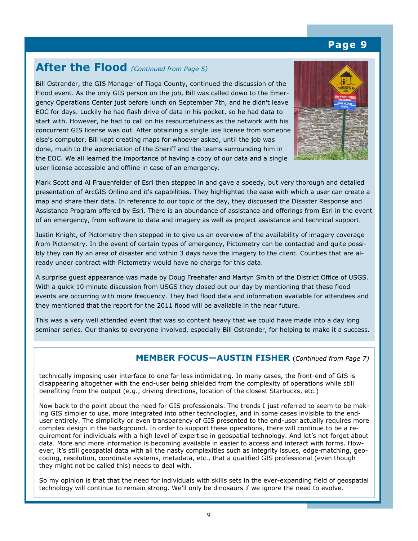## After the Flood (Continued from Page 5)

Bill Ostrander, the GIS Manager of Tioga County, continued the discussion of the Flood event. As the only GIS person on the job, Bill was called down to the Emergency Operations Center just before lunch on September 7th, and he didn't leave EOC for days. Luckily he had flash drive of data in his pocket, so he had data to start with. However, he had to call on his resourcefulness as the network with his concurrent GIS license was out. After obtaining a single use license from someone else's computer, Bill kept creating maps for whoever asked, until the job was done, much to the appreciation of the Sheriff and the teams surrounding him in the EOC. We all learned the importance of having a copy of our data and a single user license accessible and offline in case of an emergency.



Mark Scott and Al Frauenfelder of Esri then stepped in and gave a speedy, but very thorough and detailed presentation of ArcGIS Online and it's capabilities. They highlighted the ease with which a user can create a map and share their data. In reference to our topic of the day, they discussed the Disaster Response and Assistance Program offered by Esri. There is an abundance of assistance and offerings from Esri in the event of an emergency, from software to data and imagery as well as project assistance and technical support.

Justin Knight, of Pictometry then stepped in to give us an overview of the availability of imagery coverage from Pictometry. In the event of certain types of emergency, Pictometry can be contacted and quite possibly they can fly an area of disaster and within 3 days have the imagery to the client. Counties that are already under contract with Pictometry would have no charge for this data.

A surprise guest appearance was made by Doug Freehafer and Martyn Smith of the District Office of USGS. With a quick 10 minute discussion from USGS they closed out our day by mentioning that these flood events are occurring with more frequency. They had flood data and information available for attendees and they mentioned that the report for the 2011 flood will be available in the near future.

This was a very well attended event that was so content heavy that we could have made into a day long seminar series. Our thanks to everyone involved, especially Bill Ostrander, for helping to make it a success.

#### **MEMBER FOCUS-AUSTIN FISHER** (Continued from Page 7)

technically imposing user interface to one far less intimidating. In many cases, the front-end of GIS is disappearing altogether with the end-user being shielded from the complexity of operations while still benefiting from the output (e.g., driving directions, location of the closest Starbucks, etc.)

Now back to the point about the need for GIS professionals. The trends I just referred to seem to be making GIS simpler to use, more integrated into other technologies, and in some cases invisible to the enduser entirely. The simplicity or even transparency of GIS presented to the end-user actually requires more complex design in the background. In order to support these operations, there will continue to be a requirement for individuals with a high level of expertise in geospatial technology. And let's not forget about data. More and more information is becoming available in easier to access and interact with forms. However, it's still geospatial data with all the nasty complexities such as integrity issues, edge-matching, geocoding, resolution, coordinate systems, metadata, etc., that a qualified GIS professional (even though they might not be called this) needs to deal with.

So my opinion is that that the need for individuals with skills sets in the ever-expanding field of geospatial technology will continue to remain strong. We'll only be dinosaurs if we ignore the need to evolve.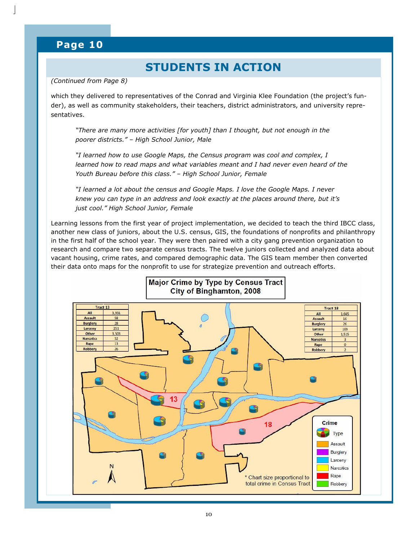## STUDENTS IN ACTION

(Continued from Page 8)

which they delivered to representatives of the Conrad and Virginia Klee Foundation (the project's funder), as well as community stakeholders, their teachers, district administrators, and university representatives.

"There are many more activities [for youth] than I thought, but not enough in the poorer districts." – High School Junior, Male

"I learned how to use Google Maps, the Census program was cool and complex, I learned how to read maps and what variables meant and I had never even heard of the Youth Bureau before this class." – High School Junior, Female

"I learned a lot about the census and Google Maps. I love the Google Maps. I never knew you can type in an address and look exactly at the places around there, but it's just cool." High School Junior, Female

Learning lessons from the first year of project implementation, we decided to teach the third IBCC class, another new class of juniors, about the U.S. census, GIS, the foundations of nonprofits and philanthropy in the first half of the school year. They were then paired with a city gang prevention organization to research and compare two separate census tracts. The twelve juniors collected and analyzed data about vacant housing, crime rates, and compared demographic data. The GIS team member then converted their data onto maps for the nonprofit to use for strategize prevention and outreach efforts.